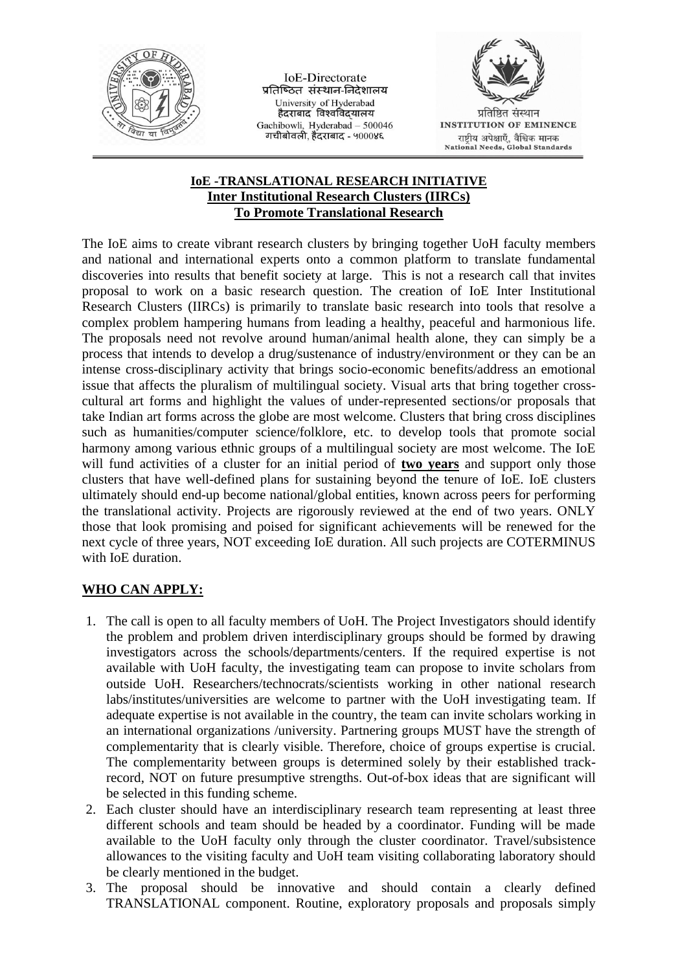

**IoE-Directorate** प्रतिष्ठित संस्थान-निदेशालय University of Hyderabad<br>हैदराबाद विश्वविद्यालय Gachibowli, Hyderabad - 500046 गचीबोवली, हैंदराबाद - ५000४६



**INSTITUTION OF EMINENCE** राष्ट्रीय अपेक्षाएँ, वैश्विक मानक<br>National Needs, Global Standards

## **IoE -TRANSLATIONAL RESEARCH INITIATIVE Inter Institutional Research Clusters (IIRCs) To Promote Translational Research**

The IoE aims to create vibrant research clusters by bringing together UoH faculty members and national and international experts onto a common platform to translate fundamental discoveries into results that benefit society at large. This is not a research call that invites proposal to work on a basic research question. The creation of IoE Inter Institutional Research Clusters (IIRCs) is primarily to translate basic research into tools that resolve a complex problem hampering humans from leading a healthy, peaceful and harmonious life. The proposals need not revolve around human/animal health alone, they can simply be a process that intends to develop a drug/sustenance of industry/environment or they can be an intense cross-disciplinary activity that brings socio-economic benefits/address an emotional issue that affects the pluralism of multilingual society. Visual arts that bring together crosscultural art forms and highlight the values of under-represented sections/or proposals that take Indian art forms across the globe are most welcome. Clusters that bring cross disciplines such as humanities/computer science/folklore, etc. to develop tools that promote social harmony among various ethnic groups of a multilingual society are most welcome. The IoE will fund activities of a cluster for an initial period of **two years** and support only those clusters that have well-defined plans for sustaining beyond the tenure of IoE. IoE clusters ultimately should end-up become national/global entities, known across peers for performing the translational activity. Projects are rigorously reviewed at the end of two years. ONLY those that look promising and poised for significant achievements will be renewed for the next cycle of three years, NOT exceeding IoE duration. All such projects are COTERMINUS with IoE duration.

## **WHO CAN APPLY:**

- 1. The call is open to all faculty members of UoH. The Project Investigators should identify the problem and problem driven interdisciplinary groups should be formed by drawing investigators across the schools/departments/centers. If the required expertise is not available with UoH faculty, the investigating team can propose to invite scholars from outside UoH. Researchers/technocrats/scientists working in other national research labs/institutes/universities are welcome to partner with the UoH investigating team. If adequate expertise is not available in the country, the team can invite scholars working in an international organizations /university. Partnering groups MUST have the strength of complementarity that is clearly visible. Therefore, choice of groups expertise is crucial. The complementarity between groups is determined solely by their established trackrecord, NOT on future presumptive strengths. Out-of-box ideas that are significant will be selected in this funding scheme.
- 2. Each cluster should have an interdisciplinary research team representing at least three different schools and team should be headed by a coordinator. Funding will be made available to the UoH faculty only through the cluster coordinator. Travel/subsistence allowances to the visiting faculty and UoH team visiting collaborating laboratory should be clearly mentioned in the budget.
- 3. The proposal should be innovative and should contain a clearly defined TRANSLATIONAL component. Routine, exploratory proposals and proposals simply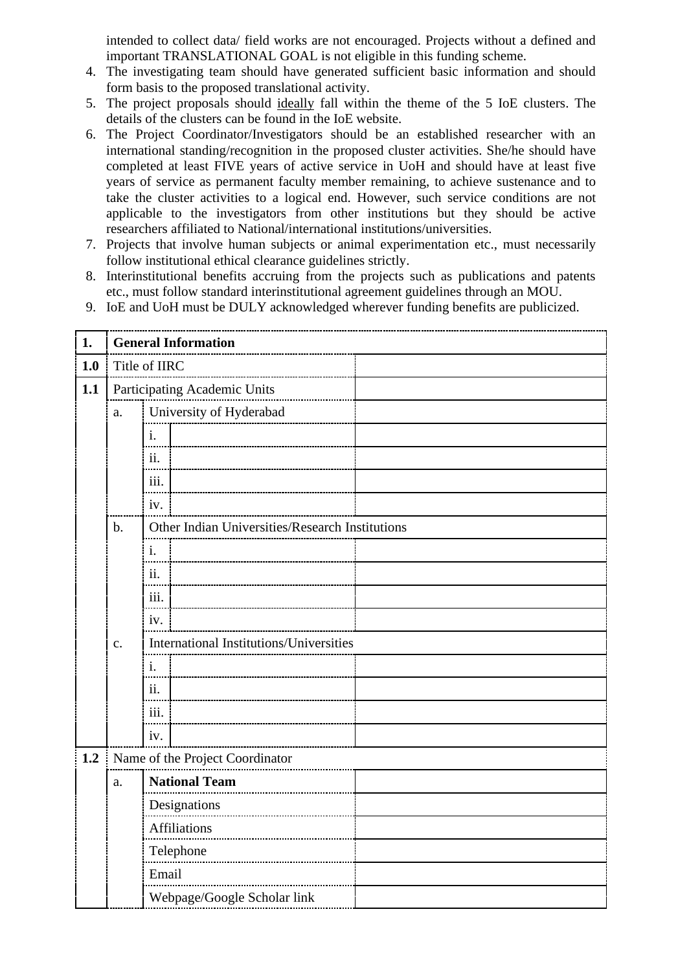intended to collect data/ field works are not encouraged. Projects without a defined and important TRANSLATIONAL GOAL is not eligible in this funding scheme.

- 4. The investigating team should have generated sufficient basic information and should form basis to the proposed translational activity.
- 5. The project proposals should ideally fall within the theme of the 5 IoE clusters. The details of the clusters can be found in the IoE website.
- 6. The Project Coordinator/Investigators should be an established researcher with an international standing/recognition in the proposed cluster activities. She/he should have completed at least FIVE years of active service in UoH and should have at least five years of service as permanent faculty member remaining, to achieve sustenance and to take the cluster activities to a logical end. However, such service conditions are not applicable to the investigators from other institutions but they should be active researchers affiliated to National/international institutions/universities.
- 7. Projects that involve human subjects or animal experimentation etc., must necessarily follow institutional ethical clearance guidelines strictly.
- 8. Interinstitutional benefits accruing from the projects such as publications and patents etc., must follow standard interinstitutional agreement guidelines through an MOU.
- 9. IoE and UoH must be DULY acknowledged wherever funding benefits are publicized.

| 1.  |       | <b>General Information</b>                      |  |  |  |  |  |  |  |  |
|-----|-------|-------------------------------------------------|--|--|--|--|--|--|--|--|
| 1.0 |       | Title of IIRC                                   |  |  |  |  |  |  |  |  |
| 1.1 |       | Participating Academic Units                    |  |  |  |  |  |  |  |  |
|     | a.    | University of Hyderabad                         |  |  |  |  |  |  |  |  |
|     |       | $\mathbf{i}$ .                                  |  |  |  |  |  |  |  |  |
|     |       | ii.                                             |  |  |  |  |  |  |  |  |
|     |       | iii.                                            |  |  |  |  |  |  |  |  |
|     |       | iv.                                             |  |  |  |  |  |  |  |  |
|     | $b$ . | Other Indian Universities/Research Institutions |  |  |  |  |  |  |  |  |
|     |       | i.                                              |  |  |  |  |  |  |  |  |
|     |       | ii.                                             |  |  |  |  |  |  |  |  |
|     |       | iii.                                            |  |  |  |  |  |  |  |  |
|     |       | iv.                                             |  |  |  |  |  |  |  |  |
|     | c.    | International Institutions/Universities         |  |  |  |  |  |  |  |  |
|     |       | 1.                                              |  |  |  |  |  |  |  |  |
|     |       | ii.                                             |  |  |  |  |  |  |  |  |
|     |       | iii.                                            |  |  |  |  |  |  |  |  |
|     |       | iv.                                             |  |  |  |  |  |  |  |  |
| 1.2 |       | Name of the Project Coordinator                 |  |  |  |  |  |  |  |  |
|     | a.    | <b>National Team</b>                            |  |  |  |  |  |  |  |  |
|     |       | Designations                                    |  |  |  |  |  |  |  |  |
|     |       | <b>Affiliations</b>                             |  |  |  |  |  |  |  |  |
|     |       | Telephone                                       |  |  |  |  |  |  |  |  |
|     |       | Email                                           |  |  |  |  |  |  |  |  |
|     |       | Webpage/Google Scholar link                     |  |  |  |  |  |  |  |  |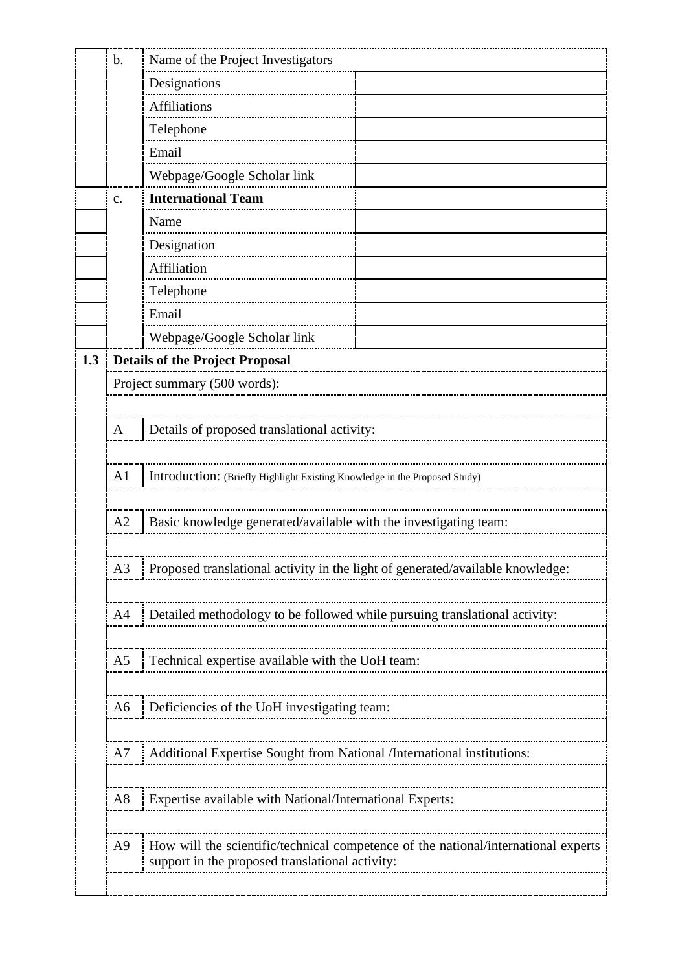| Details of proposed translational activity:                                        |  |  |  |  |  |  |  |  |
|------------------------------------------------------------------------------------|--|--|--|--|--|--|--|--|
|                                                                                    |  |  |  |  |  |  |  |  |
| Introduction: (Briefly Highlight Existing Knowledge in the Proposed Study)         |  |  |  |  |  |  |  |  |
|                                                                                    |  |  |  |  |  |  |  |  |
| Basic knowledge generated/available with the investigating team:                   |  |  |  |  |  |  |  |  |
|                                                                                    |  |  |  |  |  |  |  |  |
| Proposed translational activity in the light of generated/available knowledge:     |  |  |  |  |  |  |  |  |
|                                                                                    |  |  |  |  |  |  |  |  |
| Detailed methodology to be followed while pursuing translational activity:         |  |  |  |  |  |  |  |  |
|                                                                                    |  |  |  |  |  |  |  |  |
|                                                                                    |  |  |  |  |  |  |  |  |
|                                                                                    |  |  |  |  |  |  |  |  |
|                                                                                    |  |  |  |  |  |  |  |  |
| Deficiencies of the UoH investigating team:                                        |  |  |  |  |  |  |  |  |
| Additional Expertise Sought from National /International institutions:             |  |  |  |  |  |  |  |  |
|                                                                                    |  |  |  |  |  |  |  |  |
|                                                                                    |  |  |  |  |  |  |  |  |
|                                                                                    |  |  |  |  |  |  |  |  |
| How will the scientific/technical competence of the national/international experts |  |  |  |  |  |  |  |  |
|                                                                                    |  |  |  |  |  |  |  |  |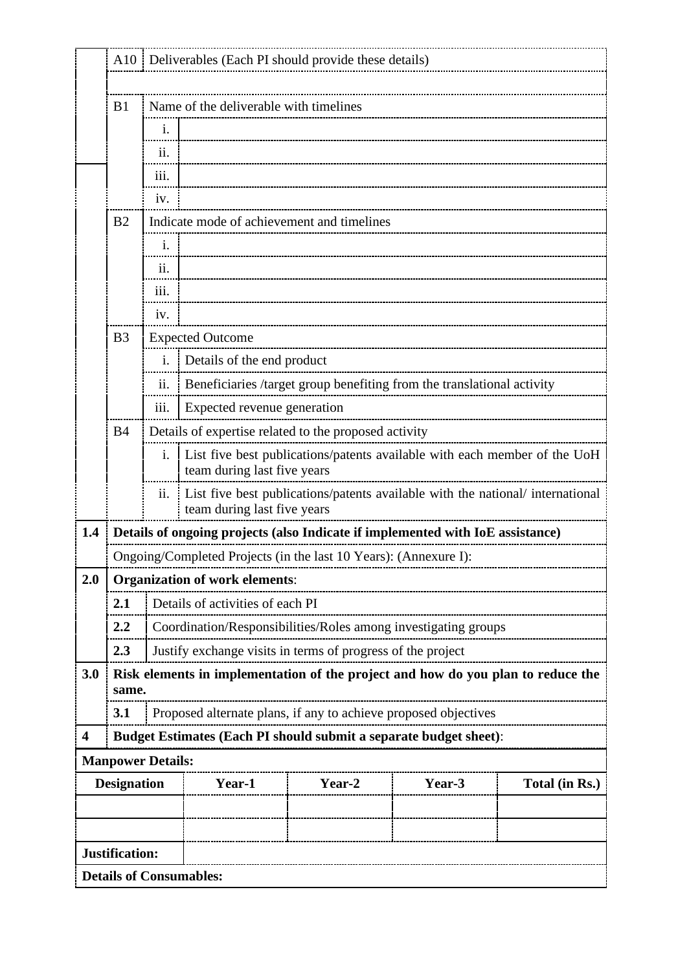|                         | A10                      |                                | Deliverables (Each PI should provide these details)                              |                                                                                                              |                                                                        |                |  |  |  |  |  |  |
|-------------------------|--------------------------|--------------------------------|----------------------------------------------------------------------------------|--------------------------------------------------------------------------------------------------------------|------------------------------------------------------------------------|----------------|--|--|--|--|--|--|
|                         | B <sub>1</sub>           |                                | Name of the deliverable with timelines                                           |                                                                                                              |                                                                        |                |  |  |  |  |  |  |
|                         |                          | i.                             |                                                                                  |                                                                                                              |                                                                        |                |  |  |  |  |  |  |
|                         |                          | ii.                            |                                                                                  |                                                                                                              |                                                                        |                |  |  |  |  |  |  |
|                         |                          |                                |                                                                                  |                                                                                                              |                                                                        |                |  |  |  |  |  |  |
|                         | iv.                      |                                |                                                                                  |                                                                                                              |                                                                        |                |  |  |  |  |  |  |
|                         | B <sub>2</sub>           |                                | Indicate mode of achievement and timelines                                       |                                                                                                              |                                                                        |                |  |  |  |  |  |  |
|                         |                          | i.                             |                                                                                  |                                                                                                              |                                                                        |                |  |  |  |  |  |  |
|                         | $\overline{11}$ .        |                                |                                                                                  |                                                                                                              |                                                                        |                |  |  |  |  |  |  |
|                         |                          | iii.                           |                                                                                  |                                                                                                              |                                                                        |                |  |  |  |  |  |  |
|                         |                          | iv.                            |                                                                                  |                                                                                                              |                                                                        |                |  |  |  |  |  |  |
|                         | B <sub>3</sub>           |                                | <b>Expected Outcome</b>                                                          |                                                                                                              |                                                                        |                |  |  |  |  |  |  |
|                         |                          | i.                             | Details of the end product                                                       |                                                                                                              |                                                                        |                |  |  |  |  |  |  |
|                         |                          | ii.                            |                                                                                  |                                                                                                              | Beneficiaries /target group benefiting from the translational activity |                |  |  |  |  |  |  |
|                         |                          | iii.                           | Expected revenue generation                                                      |                                                                                                              |                                                                        |                |  |  |  |  |  |  |
|                         | B <sub>4</sub>           |                                | Details of expertise related to the proposed activity                            |                                                                                                              |                                                                        |                |  |  |  |  |  |  |
|                         |                          | i.                             |                                                                                  | List five best publications/patents available with each member of the UoH<br>team during last five years     |                                                                        |                |  |  |  |  |  |  |
|                         |                          | ii.                            |                                                                                  | List five best publications/patents available with the national/international<br>team during last five years |                                                                        |                |  |  |  |  |  |  |
| 1.4                     |                          |                                | Details of ongoing projects (also Indicate if implemented with IoE assistance)   |                                                                                                              |                                                                        |                |  |  |  |  |  |  |
|                         |                          |                                | Ongoing/Completed Projects (in the last 10 Years): (Annexure I):                 |                                                                                                              |                                                                        |                |  |  |  |  |  |  |
| 2.0                     |                          |                                | <b>Organization of work elements:</b>                                            |                                                                                                              |                                                                        |                |  |  |  |  |  |  |
|                         | 2.1                      |                                | Details of activities of each PI                                                 |                                                                                                              |                                                                        |                |  |  |  |  |  |  |
|                         | 2.2                      |                                | Coordination/Responsibilities/Roles among investigating groups                   |                                                                                                              |                                                                        |                |  |  |  |  |  |  |
|                         | 2.3                      |                                | Justify exchange visits in terms of progress of the project                      |                                                                                                              |                                                                        |                |  |  |  |  |  |  |
| 3.0                     | same.                    |                                | Risk elements in implementation of the project and how do you plan to reduce the |                                                                                                              |                                                                        |                |  |  |  |  |  |  |
|                         | 3.1                      |                                | Proposed alternate plans, if any to achieve proposed objectives                  |                                                                                                              |                                                                        |                |  |  |  |  |  |  |
| $\overline{\mathbf{4}}$ |                          |                                | Budget Estimates (Each PI should submit a separate budget sheet):                |                                                                                                              |                                                                        |                |  |  |  |  |  |  |
|                         | <b>Manpower Details:</b> |                                |                                                                                  |                                                                                                              |                                                                        |                |  |  |  |  |  |  |
|                         | <b>Designation</b>       |                                | Year-1                                                                           | Year-2                                                                                                       | Year-3                                                                 | Total (in Rs.) |  |  |  |  |  |  |
|                         |                          |                                |                                                                                  |                                                                                                              |                                                                        |                |  |  |  |  |  |  |
|                         |                          |                                |                                                                                  |                                                                                                              |                                                                        |                |  |  |  |  |  |  |
|                         | Justification:           |                                |                                                                                  |                                                                                                              |                                                                        |                |  |  |  |  |  |  |
|                         |                          | <b>Details of Consumables:</b> |                                                                                  |                                                                                                              |                                                                        |                |  |  |  |  |  |  |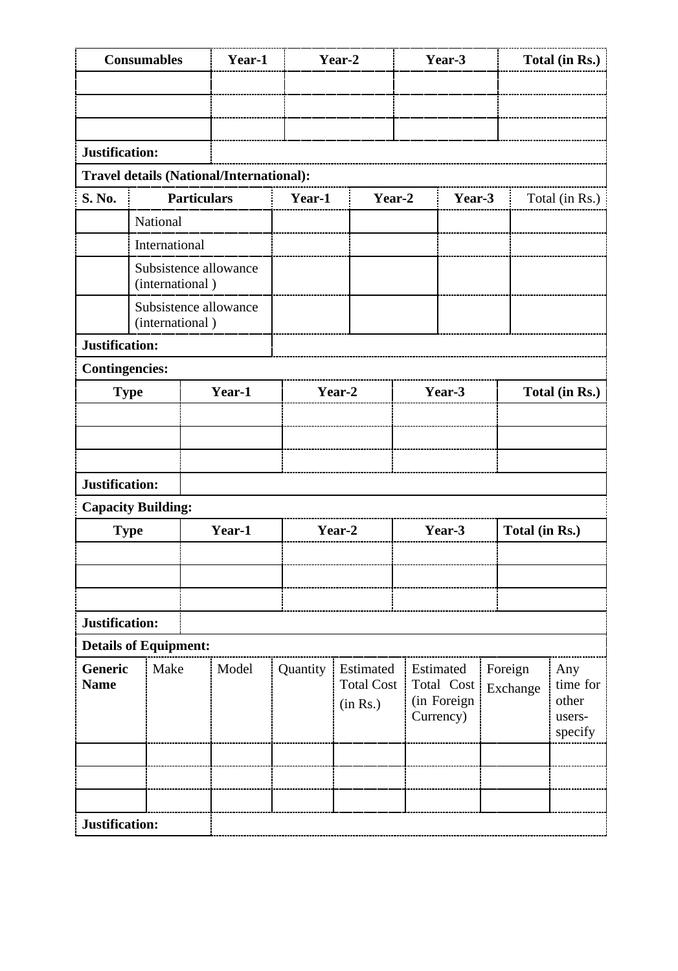| <b>Consumables</b>                    |                                          |                    | Year-1                                   |          | Year-2                                     |        | Year-3                                              |  |                     | Total (in Rs.)                                |
|---------------------------------------|------------------------------------------|--------------------|------------------------------------------|----------|--------------------------------------------|--------|-----------------------------------------------------|--|---------------------|-----------------------------------------------|
|                                       |                                          |                    |                                          |          |                                            |        |                                                     |  |                     |                                               |
|                                       |                                          |                    |                                          |          |                                            |        |                                                     |  |                     |                                               |
|                                       |                                          |                    |                                          |          |                                            |        |                                                     |  |                     |                                               |
| Justification:                        |                                          |                    |                                          |          |                                            |        |                                                     |  |                     |                                               |
|                                       |                                          |                    | Travel details (National/International): |          |                                            |        |                                                     |  |                     |                                               |
| S. No.                                |                                          | <b>Particulars</b> |                                          | Year-1   | Year-2                                     |        | Year-3                                              |  | Total (in Rs.)      |                                               |
|                                       | National                                 |                    |                                          |          |                                            |        |                                                     |  |                     |                                               |
|                                       | International                            |                    |                                          |          |                                            |        |                                                     |  |                     |                                               |
|                                       | (international)                          |                    | Subsistence allowance                    |          |                                            |        |                                                     |  |                     |                                               |
|                                       | Subsistence allowance<br>(international) |                    |                                          |          |                                            |        |                                                     |  |                     |                                               |
| Justification:                        |                                          |                    |                                          |          |                                            |        |                                                     |  |                     |                                               |
| <b>Contingencies:</b>                 |                                          |                    |                                          |          |                                            |        |                                                     |  |                     |                                               |
| <b>Type</b>                           |                                          |                    | Year-1                                   |          | Year-2                                     |        | Year-3                                              |  | Total (in Rs.)      |                                               |
|                                       |                                          |                    |                                          |          |                                            |        |                                                     |  |                     |                                               |
|                                       |                                          |                    |                                          |          |                                            |        |                                                     |  |                     |                                               |
|                                       |                                          |                    |                                          |          |                                            |        |                                                     |  |                     |                                               |
| Justification:                        |                                          |                    |                                          |          |                                            |        |                                                     |  |                     |                                               |
| <b>Capacity Building:</b>             |                                          |                    |                                          |          |                                            |        |                                                     |  |                     |                                               |
| <b>Type</b>                           |                                          |                    | Year-1                                   |          | Year-2                                     | Year-3 |                                                     |  |                     | Total (in Rs.)                                |
|                                       |                                          |                    |                                          |          |                                            |        |                                                     |  |                     |                                               |
|                                       |                                          |                    |                                          |          |                                            |        |                                                     |  |                     |                                               |
|                                       |                                          |                    |                                          |          |                                            |        |                                                     |  |                     |                                               |
| Justification:                        |                                          |                    |                                          |          |                                            |        |                                                     |  |                     |                                               |
| <b>Details of Equipment:</b>          |                                          |                    |                                          |          |                                            |        |                                                     |  |                     |                                               |
| Make<br><b>Generic</b><br><b>Name</b> |                                          |                    | Model                                    | Quantity | Estimated<br><b>Total Cost</b><br>(in Rs.) |        | Estimated<br>Total Cost<br>(in Foreign<br>Currency) |  | Foreign<br>Exchange | Any<br>time for<br>other<br>users-<br>specify |
|                                       |                                          |                    |                                          |          |                                            |        |                                                     |  |                     |                                               |
|                                       |                                          |                    |                                          |          |                                            |        |                                                     |  |                     |                                               |
|                                       |                                          |                    |                                          |          |                                            |        |                                                     |  |                     |                                               |
| Justification:                        |                                          |                    |                                          |          |                                            |        |                                                     |  |                     |                                               |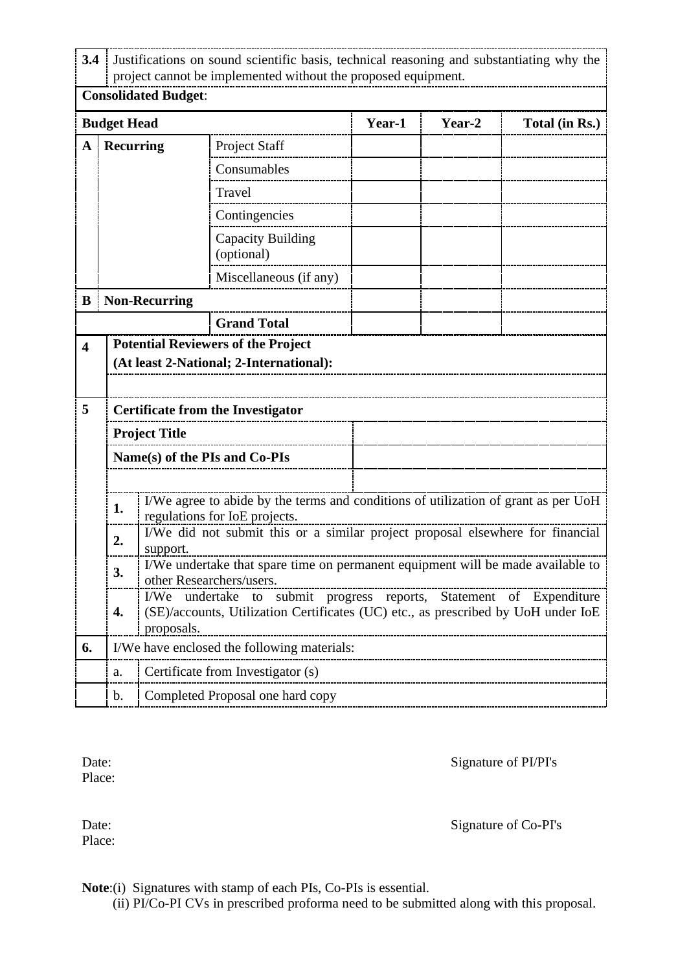| 3.4                     |                    | Justifications on sound scientific basis, technical reasoning and substantiating why the<br>project cannot be implemented without the proposed equipment. |                                                                                                                     |        |        |                |  |  |  |  |  |
|-------------------------|--------------------|-----------------------------------------------------------------------------------------------------------------------------------------------------------|---------------------------------------------------------------------------------------------------------------------|--------|--------|----------------|--|--|--|--|--|
|                         |                    | <b>Consolidated Budget:</b>                                                                                                                               |                                                                                                                     |        |        |                |  |  |  |  |  |
|                         | <b>Budget Head</b> |                                                                                                                                                           |                                                                                                                     | Year-1 | Year-2 | Total (in Rs.) |  |  |  |  |  |
| A                       | <b>Recurring</b>   |                                                                                                                                                           | <b>Project Staff</b>                                                                                                |        |        |                |  |  |  |  |  |
|                         |                    |                                                                                                                                                           | Consumables                                                                                                         |        |        |                |  |  |  |  |  |
|                         |                    |                                                                                                                                                           | Travel                                                                                                              |        |        |                |  |  |  |  |  |
|                         |                    |                                                                                                                                                           | Contingencies                                                                                                       |        |        |                |  |  |  |  |  |
|                         |                    |                                                                                                                                                           | Capacity Building<br>(optional)                                                                                     |        |        |                |  |  |  |  |  |
|                         |                    |                                                                                                                                                           | Miscellaneous (if any)                                                                                              |        |        |                |  |  |  |  |  |
| B                       |                    | <b>Non-Recurring</b>                                                                                                                                      |                                                                                                                     |        |        |                |  |  |  |  |  |
|                         |                    |                                                                                                                                                           | <b>Grand Total</b>                                                                                                  |        |        |                |  |  |  |  |  |
| $\overline{\mathbf{4}}$ |                    |                                                                                                                                                           | <b>Potential Reviewers of the Project</b>                                                                           |        |        |                |  |  |  |  |  |
|                         |                    |                                                                                                                                                           | (At least 2-National; 2-International):                                                                             |        |        |                |  |  |  |  |  |
|                         |                    |                                                                                                                                                           |                                                                                                                     |        |        |                |  |  |  |  |  |
| 5                       |                    |                                                                                                                                                           | <b>Certificate from the Investigator</b>                                                                            |        |        |                |  |  |  |  |  |
|                         |                    | <b>Project Title</b>                                                                                                                                      |                                                                                                                     |        |        |                |  |  |  |  |  |
|                         |                    |                                                                                                                                                           | Name(s) of the PIs and Co-PIs                                                                                       |        |        |                |  |  |  |  |  |
|                         |                    |                                                                                                                                                           |                                                                                                                     |        |        |                |  |  |  |  |  |
|                         | 1.                 |                                                                                                                                                           | I/We agree to abide by the terms and conditions of utilization of grant as per UoH<br>regulations for IoE projects. |        |        |                |  |  |  |  |  |
|                         | 2.                 |                                                                                                                                                           | I/We did not submit this or a similar project proposal elsewhere for financial                                      |        |        |                |  |  |  |  |  |
|                         |                    | support.                                                                                                                                                  |                                                                                                                     |        |        |                |  |  |  |  |  |
|                         | 3.                 |                                                                                                                                                           | I/We undertake that spare time on permanent equipment will be made available to<br>other Researchers/users.         |        |        |                |  |  |  |  |  |
|                         |                    | submit progress reports, Statement of Expenditure<br>I/We<br>undertake<br>to                                                                              |                                                                                                                     |        |        |                |  |  |  |  |  |
|                         | 4.                 | proposals.                                                                                                                                                | (SE)/accounts, Utilization Certificates (UC) etc., as prescribed by UoH under IoE                                   |        |        |                |  |  |  |  |  |
| 6.                      |                    |                                                                                                                                                           | I/We have enclosed the following materials:                                                                         |        |        |                |  |  |  |  |  |
|                         | a.                 |                                                                                                                                                           | Certificate from Investigator (s)                                                                                   |        |        |                |  |  |  |  |  |
|                         | b.                 |                                                                                                                                                           | Completed Proposal one hard copy                                                                                    |        |        |                |  |  |  |  |  |

Place:

Date: Signature of PI/PI's

Place:

Date: Signature of Co-PI's

**Note**:(i) Signatures with stamp of each PIs, Co-PIs is essential.

(ii) PI/Co-PI CVs in prescribed proforma need to be submitted along with this proposal.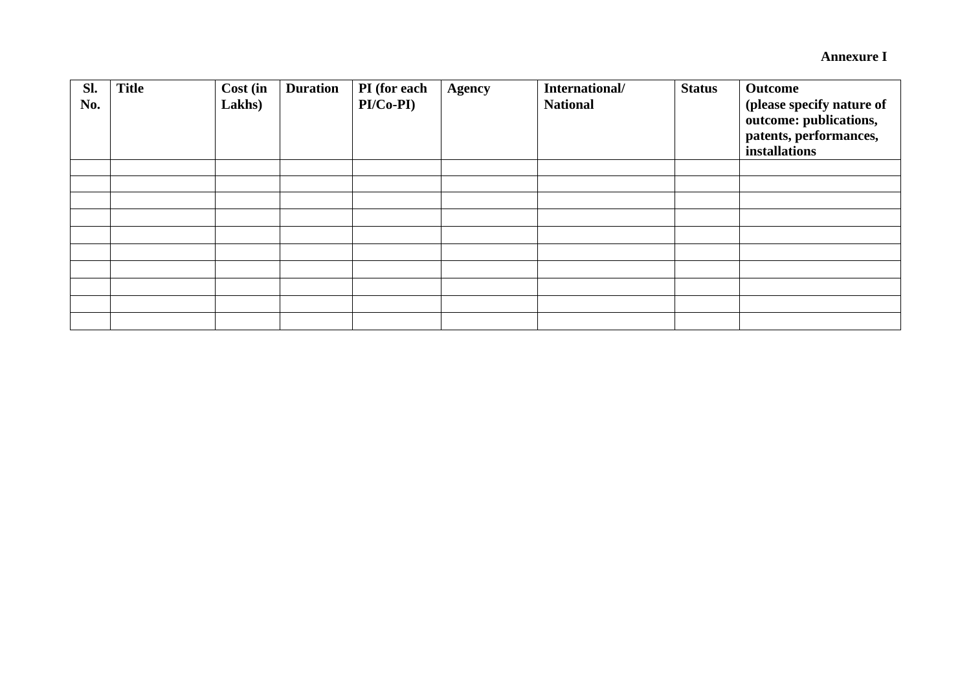**Annexure I**

| Sl.<br>No. | <b>Title</b> | Cost (in<br>Lakhs) | <b>Duration</b> | PI (for each<br>$PI/Co-PI)$ | <b>Agency</b> | International/<br><b>National</b> | <b>Status</b> | Outcome<br>(please specify nature of<br>outcome: publications,<br>patents, performances,<br>installations |
|------------|--------------|--------------------|-----------------|-----------------------------|---------------|-----------------------------------|---------------|-----------------------------------------------------------------------------------------------------------|
|            |              |                    |                 |                             |               |                                   |               |                                                                                                           |
|            |              |                    |                 |                             |               |                                   |               |                                                                                                           |
|            |              |                    |                 |                             |               |                                   |               |                                                                                                           |
|            |              |                    |                 |                             |               |                                   |               |                                                                                                           |
|            |              |                    |                 |                             |               |                                   |               |                                                                                                           |
|            |              |                    |                 |                             |               |                                   |               |                                                                                                           |
|            |              |                    |                 |                             |               |                                   |               |                                                                                                           |
|            |              |                    |                 |                             |               |                                   |               |                                                                                                           |
|            |              |                    |                 |                             |               |                                   |               |                                                                                                           |
|            |              |                    |                 |                             |               |                                   |               |                                                                                                           |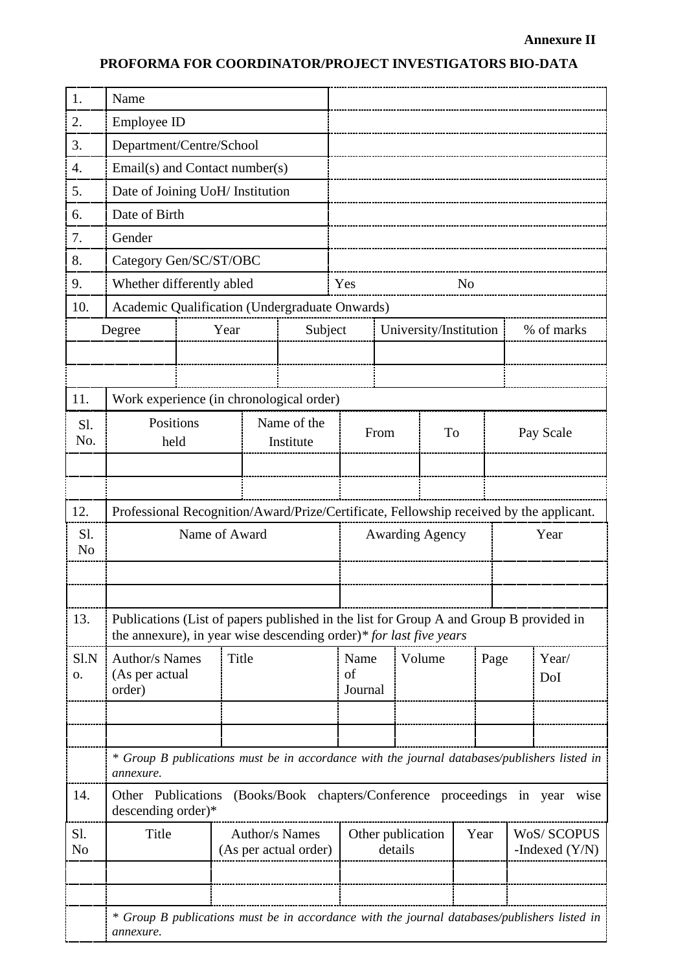## **PROFORMA FOR COORDINATOR/PROJECT INVESTIGATORS BIO-DATA**

| 1.                    | Name                                                                                                      |                                                                                                                                                              |  |                                                     |                                |         |           |                              |                        |      |      |           |                                                                                              |
|-----------------------|-----------------------------------------------------------------------------------------------------------|--------------------------------------------------------------------------------------------------------------------------------------------------------------|--|-----------------------------------------------------|--------------------------------|---------|-----------|------------------------------|------------------------|------|------|-----------|----------------------------------------------------------------------------------------------|
| 2.                    | Employee ID                                                                                               |                                                                                                                                                              |  |                                                     |                                |         |           |                              |                        |      |      |           |                                                                                              |
| 3.                    |                                                                                                           | Department/Centre/School                                                                                                                                     |  |                                                     |                                |         |           |                              |                        |      |      |           |                                                                                              |
| $\overline{4}$ .      |                                                                                                           | Email(s) and Contact number(s)                                                                                                                               |  |                                                     |                                |         |           |                              |                        |      |      |           |                                                                                              |
| 5.                    |                                                                                                           | Date of Joining UoH/ Institution                                                                                                                             |  |                                                     |                                |         |           |                              |                        |      |      |           |                                                                                              |
| 6.                    | Date of Birth                                                                                             |                                                                                                                                                              |  |                                                     |                                |         |           |                              |                        |      |      |           |                                                                                              |
| 7.                    | Gender                                                                                                    |                                                                                                                                                              |  |                                                     |                                |         |           |                              |                        |      |      |           |                                                                                              |
| 8.                    |                                                                                                           | Category Gen/SC/ST/OBC                                                                                                                                       |  |                                                     |                                |         |           |                              |                        |      |      |           |                                                                                              |
| 9.                    |                                                                                                           | Whether differently abled                                                                                                                                    |  |                                                     |                                |         | Yes<br>No |                              |                        |      |      |           |                                                                                              |
| 10.                   | Academic Qualification (Undergraduate Onwards)                                                            |                                                                                                                                                              |  |                                                     |                                |         |           |                              |                        |      |      |           |                                                                                              |
|                       | Subject<br>Year<br>Degree                                                                                 |                                                                                                                                                              |  |                                                     |                                |         |           |                              | University/Institution |      |      |           | % of marks                                                                                   |
|                       |                                                                                                           |                                                                                                                                                              |  |                                                     |                                |         |           |                              |                        |      |      |           |                                                                                              |
|                       |                                                                                                           |                                                                                                                                                              |  |                                                     |                                |         |           |                              |                        |      |      |           |                                                                                              |
| 11.                   |                                                                                                           | Work experience (in chronological order)                                                                                                                     |  |                                                     |                                |         |           |                              |                        |      |      |           |                                                                                              |
| Sl.                   | Positions<br>Name of the                                                                                  |                                                                                                                                                              |  |                                                     |                                |         |           |                              |                        |      |      |           |                                                                                              |
| No.                   | held                                                                                                      |                                                                                                                                                              |  | Institute                                           |                                | From    |           | To                           |                        |      |      | Pay Scale |                                                                                              |
|                       |                                                                                                           |                                                                                                                                                              |  |                                                     |                                |         |           |                              |                        |      |      |           |                                                                                              |
|                       |                                                                                                           |                                                                                                                                                              |  |                                                     |                                |         |           |                              |                        |      |      |           |                                                                                              |
| 12.                   |                                                                                                           | Professional Recognition/Award/Prize/Certificate, Fellowship received by the applicant.                                                                      |  |                                                     |                                |         |           |                              |                        |      |      |           |                                                                                              |
| Sl.                   |                                                                                                           | Name of Award                                                                                                                                                |  |                                                     | <b>Awarding Agency</b><br>Year |         |           |                              |                        |      |      |           |                                                                                              |
| N <sub>o</sub>        |                                                                                                           |                                                                                                                                                              |  |                                                     |                                |         |           |                              |                        |      |      |           |                                                                                              |
|                       |                                                                                                           |                                                                                                                                                              |  |                                                     |                                |         |           |                              |                        |      |      |           |                                                                                              |
|                       |                                                                                                           |                                                                                                                                                              |  |                                                     |                                |         |           |                              |                        |      |      |           |                                                                                              |
| 13.                   |                                                                                                           | Publications (List of papers published in the list for Group A and Group B provided in<br>the annexure), in year wise descending order)* for last five years |  |                                                     |                                |         |           |                              |                        |      |      |           |                                                                                              |
| Sl.N                  | <b>Author/s Names</b>                                                                                     | Title                                                                                                                                                        |  |                                                     |                                | Name    |           |                              | Volume                 |      | Page |           | Year/                                                                                        |
| 0.                    | (As per actual                                                                                            |                                                                                                                                                              |  |                                                     |                                | of      |           |                              |                        |      | DoI  |           |                                                                                              |
|                       | order)                                                                                                    |                                                                                                                                                              |  |                                                     |                                | Journal |           |                              |                        |      |      |           |                                                                                              |
|                       |                                                                                                           |                                                                                                                                                              |  |                                                     |                                |         |           |                              |                        |      |      |           |                                                                                              |
|                       |                                                                                                           |                                                                                                                                                              |  |                                                     |                                |         |           |                              |                        |      |      |           |                                                                                              |
|                       | annexure.                                                                                                 |                                                                                                                                                              |  |                                                     |                                |         |           |                              |                        |      |      |           | * Group B publications must be in accordance with the journal databases/publishers listed in |
| 14.                   | Other Publications<br>descending order)*                                                                  |                                                                                                                                                              |  | (Books/Book chapters/Conference proceedings in year |                                |         |           |                              |                        |      |      |           | wise                                                                                         |
| Sl.<br>N <sub>0</sub> | Title                                                                                                     |                                                                                                                                                              |  | <b>Author/s Names</b><br>(As per actual order)      |                                |         |           | Other publication<br>details |                        | Year |      |           | <b>WoS/SCOPUS</b><br>-Indexed $(Y/N)$                                                        |
|                       |                                                                                                           |                                                                                                                                                              |  |                                                     |                                |         |           |                              |                        |      |      |           |                                                                                              |
|                       |                                                                                                           |                                                                                                                                                              |  |                                                     |                                |         |           |                              |                        |      |      |           |                                                                                              |
|                       | * Group B publications must be in accordance with the journal databases/publishers listed in<br>annexure. |                                                                                                                                                              |  |                                                     |                                |         |           |                              |                        |      |      |           |                                                                                              |